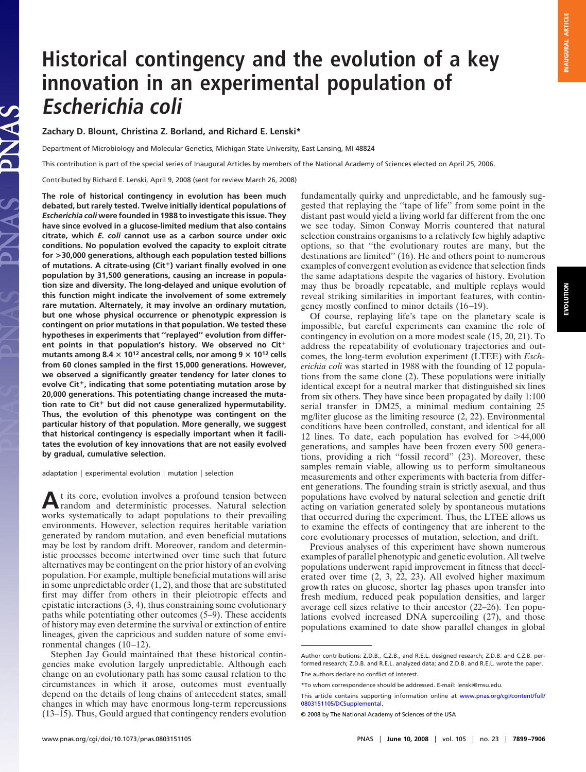## **Historical contingency and the evolution of a key innovation in an experimental population of Escherichia coli**

**Zachary D. Blount, Christina Z. Borland, and Richard E. Lenski\***

Department of Microbiology and Molecular Genetics, Michigan State University, East Lansing, MI 48824

This contribution is part of the special series of Inaugural Articles by members of the National Academy of Sciences elected on April 25, 2006.

Contributed by Richard E. Lenski, April 9, 2008 (sent for review March 26, 2008)

**The role of historical contingency in evolution has been much debated, but rarely tested. Twelve initially identical populations of** *Escherichia coli* **were founded in 1988 to investigate this issue. They have since evolved in a glucose-limited medium that also contains citrate, which** *E. coli* **cannot use as a carbon source under oxic conditions. No population evolved the capacity to exploit citrate for >30,000 generations, although each population tested billions of mutations. A citrate-using (Cit) variant finally evolved in one population by 31,500 generations, causing an increase in population size and diversity. The long-delayed and unique evolution of this function might indicate the involvement of some extremely rare mutation. Alternately, it may involve an ordinary mutation, but one whose physical occurrence or phenotypic expression is contingent on prior mutations in that population. We tested these hypotheses in experiments that ''replayed'' evolution from different points in that population's history. We observed no Cit**  $m$ utants among 8.4  $\times$  10<sup>12</sup> ancestral cells, nor among 9  $\times$  10<sup>12</sup> cells **from 60 clones sampled in the first 15,000 generations. However, we observed a significantly greater tendency for later clones to evolve Cit, indicating that some potentiating mutation arose by 20,000 generations. This potentiating change increased the muta**tion rate to Cit<sup>+</sup> but did not cause generalized hypermutability. **Thus, the evolution of this phenotype was contingent on the particular history of that population. More generally, we suggest that historical contingency is especially important when it facilitates the evolution of key innovations that are not easily evolved by gradual, cumulative selection.**

adaptation  $|$  experimental evolution  $|$  mutation  $|$  selection

At its core, evolution involves a profound tension between<br>random and deterministic processes. Natural selection works systematically to adapt populations to their prevailing environments. However, selection requires heritable variation generated by random mutation, and even beneficial mutations may be lost by random drift. Moreover, random and deterministic processes become intertwined over time such that future alternatives may be contingent on the prior history of an evolving population. For example, multiple beneficial mutations will arise in some unpredictable order (1, 2), and those that are substituted first may differ from others in their pleiotropic effects and epistatic interactions (3, 4), thus constraining some evolutionary paths while potentiating other outcomes (5–9). These accidents of history may even determine the survival or extinction of entire lineages, given the capricious and sudden nature of some environmental changes (10–12).

Stephen Jay Gould maintained that these historical contingencies make evolution largely unpredictable. Although each change on an evolutionary path has some causal relation to the circumstances in which it arose, outcomes must eventually depend on the details of long chains of antecedent states, small changes in which may have enormous long-term repercussions (13–15). Thus, Gould argued that contingency renders evolution

fundamentally quirky and unpredictable, and he famously suggested that replaying the ''tape of life'' from some point in the distant past would yield a living world far different from the one we see today. Simon Conway Morris countered that natural selection constrains organisms to a relatively few highly adaptive options, so that ''the evolutionary routes are many, but the destinations are limited'' (16). He and others point to numerous examples of convergent evolution as evidence that selection finds the same adaptations despite the vagaries of history. Evolution may thus be broadly repeatable, and multiple replays would reveal striking similarities in important features, with contingency mostly confined to minor details (16–19).

Of course, replaying life's tape on the planetary scale is impossible, but careful experiments can examine the role of contingency in evolution on a more modest scale (15, 20, 21). To address the repeatability of evolutionary trajectories and outcomes, the long-term evolution experiment (LTEE) with *Escherichia coli* was started in 1988 with the founding of 12 populations from the same clone (2). These populations were initially identical except for a neutral marker that distinguished six lines from six others. They have since been propagated by daily 1:100 serial transfer in DM25, a minimal medium containing 25 mg/liter glucose as the limiting resource (2, 22). Environmental conditions have been controlled, constant, and identical for all 12 lines. To date, each population has evolved for  $>44,000$ generations, and samples have been frozen every 500 generations, providing a rich ''fossil record'' (23). Moreover, these samples remain viable, allowing us to perform simultaneous measurements and other experiments with bacteria from different generations. The founding strain is strictly asexual, and thus populations have evolved by natural selection and genetic drift acting on variation generated solely by spontaneous mutations that occurred during the experiment. Thus, the LTEE allows us to examine the effects of contingency that are inherent to the core evolutionary processes of mutation, selection, and drift.

Previous analyses of this experiment have shown numerous examples of parallel phenotypic and genetic evolution. All twelve populations underwent rapid improvement in fitness that decelerated over time (2, 3, 22, 23). All evolved higher maximum growth rates on glucose, shorter lag phases upon transfer into fresh medium, reduced peak population densities, and larger average cell sizes relative to their ancestor (22–26). Ten populations evolved increased DNA supercoiling (27), and those populations examined to date show parallel changes in global INAUGURAL ARTICLE

Author contributions: Z.D.B., C.Z.B., and R.E.L. designed research; Z.D.B. and C.Z.B. performed research; Z.D.B. and R.E.L. analyzed data; and Z.D.B. and R.E.L. wrote the paper. The authors declare no conflict of interest.

<sup>\*</sup>To whom correspondence should be addressed. E-mail: lenski@msu.edu.

This article contains supporting information online at [www.pnas.org/cgi/content/full/](http://www.pnas.org/cgi/content/full/0803151105/DCSupplemental) [0803151105/DCSupplemental.](http://www.pnas.org/cgi/content/full/0803151105/DCSupplemental)

<sup>© 2008</sup> by The National Academy of Sciences of the USA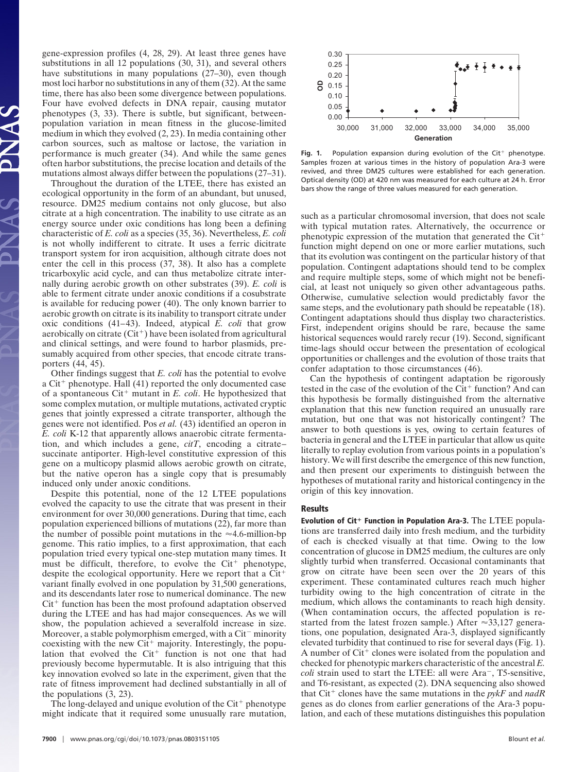gene-expression profiles (4, 28, 29). At least three genes have substitutions in all 12 populations (30, 31), and several others have substitutions in many populations  $(27-30)$ , even though most loci harbor no substitutions in any of them (32). At the same time, there has also been some divergence between populations. Four have evolved defects in DNA repair, causing mutator phenotypes (3, 33). There is subtle, but significant, betweenpopulation variation in mean fitness in the glucose-limited medium in which they evolved (2, 23). In media containing other carbon sources, such as maltose or lactose, the variation in performance is much greater (34). And while the same genes often harbor substitutions, the precise location and details of the mutations almost always differ between the populations (27–31).

Throughout the duration of the LTEE, there has existed an ecological opportunity in the form of an abundant, but unused, resource. DM25 medium contains not only glucose, but also citrate at a high concentration. The inability to use citrate as an energy source under oxic conditions has long been a defining characteristic of *E. coli* as a species (35, 36). Nevertheless, *E. coli* is not wholly indifferent to citrate. It uses a ferric dicitrate transport system for iron acquisition, although citrate does not enter the cell in this process (37, 38). It also has a complete tricarboxylic acid cycle, and can thus metabolize citrate internally during aerobic growth on other substrates (39). *E. coli* is able to ferment citrate under anoxic conditions if a cosubstrate is available for reducing power (40). The only known barrier to aerobic growth on citrate is its inability to transport citrate under oxic conditions (41–43). Indeed, atypical *E. coli* that grow aerobically on citrate (Cit<sup>+</sup>) have been isolated from agricultural and clinical settings, and were found to harbor plasmids, presumably acquired from other species, that encode citrate transporters (44, 45).

Other findings suggest that *E. coli* has the potential to evolve a Cit<sup>+</sup> phenotype. Hall (41) reported the only documented case of a spontaneous Cit<sup>+</sup> mutant in *E. coli*. He hypothesized that some complex mutation, or multiple mutations, activated cryptic genes that jointly expressed a citrate transporter, although the genes were not identified. Pos *et al.* (43) identified an operon in *E. coli* K-12 that apparently allows anaerobic citrate fermentation, and which includes a gene, *citT*, encoding a citrate– succinate antiporter. High-level constitutive expression of this gene on a multicopy plasmid allows aerobic growth on citrate, but the native operon has a single copy that is presumably induced only under anoxic conditions.

Despite this potential, none of the 12 LTEE populations evolved the capacity to use the citrate that was present in their environment for over 30,000 generations. During that time, each population experienced billions of mutations (22), far more than the number of possible point mutations in the  $\approx 4.6$ -million-bp genome. This ratio implies, to a first approximation, that each population tried every typical one-step mutation many times. It must be difficult, therefore, to evolve the  $Cit^+$  phenotype, despite the ecological opportunity. Here we report that a Cit variant finally evolved in one population by 31,500 generations, and its descendants later rose to numerical dominance. The new Cit<sup>+</sup> function has been the most profound adaptation observed during the LTEE and has had major consequences. As we will show, the population achieved a severalfold increase in size. Moreover, a stable polymorphism emerged, with a  $Cit$ <sup>-</sup> minority coexisting with the new  $Cit^+$  majority. Interestingly, the population that evolved the Cit<sup>+</sup> function is not one that had previously become hypermutable. It is also intriguing that this key innovation evolved so late in the experiment, given that the rate of fitness improvement had declined substantially in all of the populations (3, 23).

The long-delayed and unique evolution of the Cit<sup>+</sup> phenotype might indicate that it required some unusually rare mutation,



Fig. 1. Population expansion during evolution of the Cit<sup>+</sup> phenotype. Samples frozen at various times in the history of population Ara-3 were revived, and three DM25 cultures were established for each generation. Optical density (OD) at 420 nm was measured for each culture at 24 h. Error bars show the range of three values measured for each generation.

such as a particular chromosomal inversion, that does not scale with typical mutation rates. Alternatively, the occurrence or phenotypic expression of the mutation that generated the Cit<sup>+</sup> function might depend on one or more earlier mutations, such that its evolution was contingent on the particular history of that population. Contingent adaptations should tend to be complex and require multiple steps, some of which might not be beneficial, at least not uniquely so given other advantageous paths. Otherwise, cumulative selection would predictably favor the same steps, and the evolutionary path should be repeatable (18). Contingent adaptations should thus display two characteristics. First, independent origins should be rare, because the same historical sequences would rarely recur (19). Second, significant time-lags should occur between the presentation of ecological opportunities or challenges and the evolution of those traits that confer adaptation to those circumstances (46).

Can the hypothesis of contingent adaptation be rigorously tested in the case of the evolution of the Cit<sup>+</sup> function? And can this hypothesis be formally distinguished from the alternative explanation that this new function required an unusually rare mutation, but one that was not historically contingent? The answer to both questions is yes, owing to certain features of bacteria in general and the LTEE in particular that allow us quite literally to replay evolution from various points in a population's history. We will first describe the emergence of this new function, and then present our experiments to distinguish between the hypotheses of mutational rarity and historical contingency in the origin of this key innovation.

#### **Results**

**Evolution of Cit<sup>+</sup> Function in Population Ara-3.** The LTEE populations are transferred daily into fresh medium, and the turbidity of each is checked visually at that time. Owing to the low concentration of glucose in DM25 medium, the cultures are only slightly turbid when transferred. Occasional contaminants that grow on citrate have been seen over the 20 years of this experiment. These contaminated cultures reach much higher turbidity owing to the high concentration of citrate in the medium, which allows the contaminants to reach high density. (When contamination occurs, the affected population is restarted from the latest frozen sample.) After  $\approx 33,127$  generations, one population, designated Ara-3, displayed significantly elevated turbidity that continued to rise for several days (Fig. 1). A number of Cit<sup>+</sup> clones were isolated from the population and checked for phenotypic markers characteristic of the ancestral *E. coli* strain used to start the LTEE: all were Ara<sup>-</sup>, T5-sensitive, and T6-resistant, as expected (2). DNA sequencing also showed that Cit<sup>+</sup> clones have the same mutations in the *pykF* and *nadR* genes as do clones from earlier generations of the Ara-3 population, and each of these mutations distinguishes this population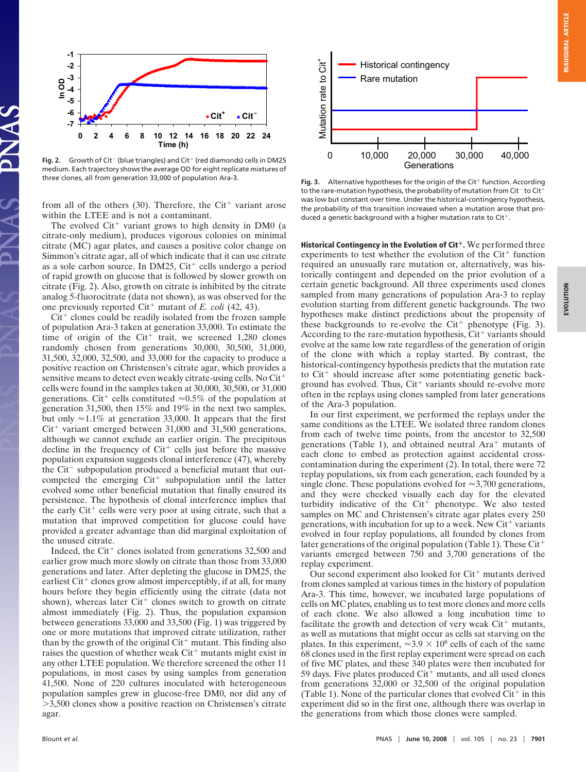EVOLUTION



Fig. 2. Growth of Cit<sup>-</sup> (blue triangles) and Cit<sup>+</sup> (red diamonds) cells in DM25 medium. Each trajectory shows the average OD for eight replicate mixtures of three clones, all from generation 33,000 of population Ara-3.

from all of the others  $(30)$ . Therefore, the Cit<sup>+</sup> variant arose within the LTEE and is not a contaminant.

The evolved Cit<sup>+</sup> variant grows to high density in DM0 (a citrate-only medium), produces vigorous colonies on minimal citrate (MC) agar plates, and causes a positive color change on Simmon's citrate agar, all of which indicate that it can use citrate as a sole carbon source. In DM25, Cit<sup>+</sup> cells undergo a period of rapid growth on glucose that is followed by slower growth on citrate (Fig. 2). Also, growth on citrate is inhibited by the citrate analog 5-fluorocitrate (data not shown), as was observed for the one previously reported Cit<sup>+</sup> mutant of *E. coli* (42, 43).

Cit<sup>+</sup> clones could be readily isolated from the frozen sample of population Ara-3 taken at generation 33,000. To estimate the time of origin of the  $Cit^+$  trait, we screened 1,280 clones randomly chosen from generations 30,000, 30,500, 31,000, 31,500, 32,000, 32,500, and 33,000 for the capacity to produce a positive reaction on Christensen's citrate agar, which provides a sensitive means to detect even weakly citrate-using cells. No Cit<sup>+</sup> cells were found in the samples taken at 30,000, 30,500, or 31,000 generations. Cit<sup>+</sup> cells constituted  $\approx 0.5\%$  of the population at generation 31,500, then 15% and 19% in the next two samples, but only  $\approx$  1.1% at generation 33,000. It appears that the first Cit<sup>+</sup> variant emerged between 31,000 and 31,500 generations, although we cannot exclude an earlier origin. The precipitous decline in the frequency of  $Cit^+$  cells just before the massive population expansion suggests clonal interference (47), whereby the  $Cit^-$  subpopulation produced a beneficial mutant that outcompeted the emerging Cit<sup>+</sup> subpopulation until the latter evolved some other beneficial mutation that finally ensured its persistence. The hypothesis of clonal interference implies that the early Cit<sup>+</sup> cells were very poor at using citrate, such that a mutation that improved competition for glucose could have provided a greater advantage than did marginal exploitation of the unused citrate.

Indeed, the Cit<sup>+</sup> clones isolated from generations  $32,500$  and earlier grow much more slowly on citrate than those from 33,000 generations and later. After depleting the glucose in DM25, the earliest Cit<sup>+</sup> clones grow almost imperceptibly, if at all, for many hours before they begin efficiently using the citrate (data not shown), whereas later Cit<sup>+</sup> clones switch to growth on citrate almost immediately (Fig. 2). Thus, the population expansion between generations 33,000 and 33,500 (Fig. 1) was triggered by one or more mutations that improved citrate utilization, rather than by the growth of the original Cit<sup>+</sup> mutant. This finding also raises the question of whether weak Cit<sup>+</sup> mutants might exist in any other LTEE population. We therefore screened the other 11 populations, in most cases by using samples from generation 41,500. None of 220 cultures inoculated with heterogeneous population samples grew in glucose-free DM0, nor did any of 3,500 clones show a positive reaction on Christensen's citrate agar.



Fig. 3. Alternative hypotheses for the origin of the Cit<sup>+</sup> function. According to the rare-mutation hypothesis, the probability of mutation from Cit $^-$  to Cit $^+$ was low but constant over time. Under the historical-contingency hypothesis, the probability of this transition increased when a mutation arose that produced a genetic background with a higher mutation rate to Cit $^+$ .

**Historical Contingency in the Evolution of Cit.** We performed three experiments to test whether the evolution of the  $Cit<sup>+</sup>$  function required an unusually rare mutation or, alternatively, was historically contingent and depended on the prior evolution of a certain genetic background. All three experiments used clones sampled from many generations of population Ara-3 to replay evolution starting from different genetic backgrounds. The two hypotheses make distinct predictions about the propensity of these backgrounds to re-evolve the Cit<sup>+</sup> phenotype (Fig. 3). According to the rare-mutation hypothesis, Cit<sup>+</sup> variants should evolve at the same low rate regardless of the generation of origin of the clone with which a replay started. By contrast, the historical-contingency hypothesis predicts that the mutation rate to Cit<sup>+</sup> should increase after some potentiating genetic background has evolved. Thus, Cit<sup>+</sup> variants should re-evolve more often in the replays using clones sampled from later generations of the Ara-3 population.

In our first experiment, we performed the replays under the same conditions as the LTEE. We isolated three random clones from each of twelve time points, from the ancestor to 32,500 generations (Table 1), and obtained neutral Ara<sup>+</sup> mutants of each clone to embed as protection against accidental crosscontamination during the experiment (2). In total, there were 72 replay populations, six from each generation, each founded by a single clone. These populations evolved for  $\approx 3,700$  generations, and they were checked visually each day for the elevated turbidity indicative of the  $Cit^+$  phenotype. We also tested samples on MC and Christensen's citrate agar plates every 250 generations, with incubation for up to a week. New Cit<sup>+</sup> variants evolved in four replay populations, all founded by clones from later generations of the original population (Table 1). These Cit<sup>+</sup> variants emerged between 750 and 3,700 generations of the replay experiment.

Our second experiment also looked for Cit<sup>+</sup> mutants derived from clones sampled at various times in the history of population Ara-3. This time, however, we incubated large populations of cells on MC plates, enabling us to test more clones and more cells of each clone. We also allowed a long incubation time to facilitate the growth and detection of very weak Cit<sup>+</sup> mutants, as well as mutations that might occur as cells sat starving on the plates. In this experiment,  $\approx 3.9 \times 10^8$  cells of each of the same 68 clones used in the first replay experiment were spread on each of five MC plates, and these 340 plates were then incubated for 59 days. Five plates produced  $Cit^+$  mutants, and all used clones from generations 32,000 or 32,500 of the original population (Table 1). None of the particular clones that evolved  $\overline{\mathrm{C}}$ it<sup>+</sup> in this experiment did so in the first one, although there was overlap in the generations from which those clones were sampled.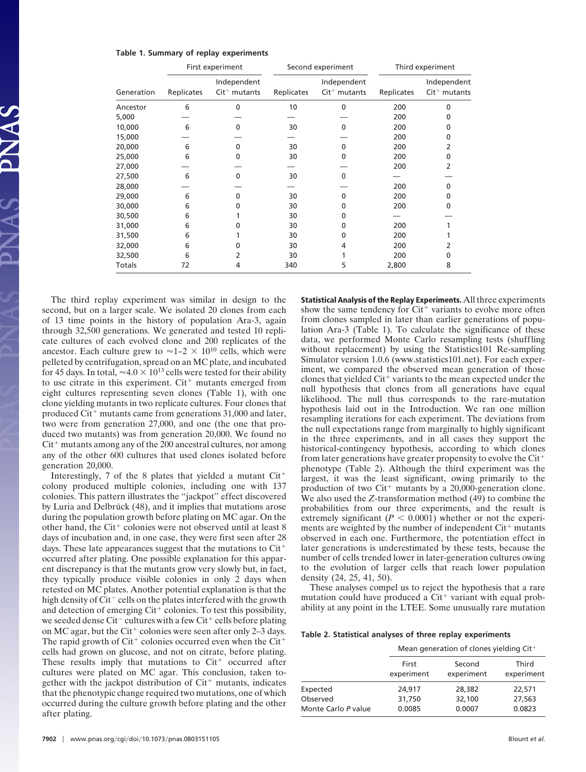|  |  |  |  | Table 1. Summary of replay experiments |
|--|--|--|--|----------------------------------------|
|--|--|--|--|----------------------------------------|

|            | First experiment |                                |            | Second experiment              | Third experiment |                                |
|------------|------------------|--------------------------------|------------|--------------------------------|------------------|--------------------------------|
| Generation | Replicates       | Independent<br>$Cit^+$ mutants | Replicates | Independent<br>$Cit^+$ mutants | Replicates       | Independent<br>$Cit^+$ mutants |
| Ancestor   | 6                | 0                              | 10         | 0                              | 200              | ŋ                              |
| 5,000      |                  |                                |            |                                | 200              |                                |
| 10,000     | 6                |                                | 30         | o                              | 200              |                                |
| 15,000     |                  |                                |            |                                | 200              | o                              |
| 20,000     | 6                |                                | 30         | Ω                              | 200              |                                |
| 25,000     | 6                |                                | 30         | o                              | 200              | 0                              |
| 27,000     |                  |                                |            |                                | 200              | 2                              |
| 27,500     | 6                | n                              | 30         | ŋ                              |                  |                                |
| 28,000     |                  |                                |            |                                | 200              |                                |
| 29,000     | 6                |                                | 30         |                                | 200              | o                              |
| 30,000     | h                |                                | 30         |                                | 200              |                                |
| 30,500     | 6                |                                | 30         |                                |                  |                                |
| 31,000     | 6                |                                | 30         |                                | 200              |                                |
| 31,500     | 6                |                                | 30         | o                              | 200              |                                |
| 32,000     | 6                |                                | 30         | 4                              | 200              |                                |
| 32,500     | 6                |                                | 30         |                                | 200              | 0                              |
| Totals     | 72               | 4                              | 340        | 5                              | 2,800            | 8                              |

The third replay experiment was similar in design to the second, but on a larger scale. We isolated 20 clones from each of 13 time points in the history of population Ara-3, again through 32,500 generations. We generated and tested 10 replicate cultures of each evolved clone and 200 replicates of the ancestor. Each culture grew to  $\approx 1-2 \times 10^{10}$  cells, which were pelleted by centrifugation, spread on an MC plate, and incubated for 45 days. In total,  $\approx 4.0 \times 10^{13}$  cells were tested for their ability to use citrate in this experiment.  $Cit^+$  mutants emerged from eight cultures representing seven clones (Table 1), with one clone yielding mutants in two replicate cultures. Four clones that produced Cit<sup>+</sup> mutants came from generations 31,000 and later, two were from generation 27,000, and one (the one that produced two mutants) was from generation 20,000. We found no Cit<sup>+</sup> mutants among any of the 200 ancestral cultures, nor among any of the other 600 cultures that used clones isolated before generation 20,000.

Interestingly, 7 of the 8 plates that yielded a mutant Cit colony produced multiple colonies, including one with 137 colonies. This pattern illustrates the ''jackpot'' effect discovered by Luria and Delbrück (48), and it implies that mutations arose during the population growth before plating on MC agar. On the other hand, the Cit<sup>+</sup> colonies were not observed until at least 8 days of incubation and, in one case, they were first seen after 28 days. These late appearances suggest that the mutations to Cit<sup>+</sup> occurred after plating. One possible explanation for this apparent discrepancy is that the mutants grow very slowly but, in fact, they typically produce visible colonies in only 2 days when retested on MC plates. Another potential explanation is that the high density of  $Cit^-$  cells on the plates interfered with the growth and detection of emerging Cit<sup>+</sup> colonies. To test this possibility, we seeded dense Cit<sup>-</sup> cultures with a few Cit<sup>+</sup> cells before plating on MC agar, but the Cit<sup>+</sup> colonies were seen after only 2-3 days. The rapid growth of  $Cit^+$  colonies occurred even when the  $Cit^+$ cells had grown on glucose, and not on citrate, before plating. These results imply that mutations to  $Cit^+$  occurred after cultures were plated on MC agar. This conclusion, taken together with the jackpot distribution of Cit<sup>+</sup> mutants, indicates that the phenotypic change required two mutations, one of which occurred during the culture growth before plating and the other after plating.

show the same tendency for Cit<sup>+</sup> variants to evolve more often from clones sampled in later than earlier generations of population Ara-3 (Table 1). To calculate the significance of these data, we performed Monte Carlo resampling tests (shuffling without replacement) by using the Statistics101 Re-sampling Simulator version 1.0.6 (www.statistics101.net). For each experiment, we compared the observed mean generation of those clones that yielded Cit<sup>+</sup> variants to the mean expected under the null hypothesis that clones from all generations have equal likelihood. The null thus corresponds to the rare-mutation hypothesis laid out in the Introduction. We ran one million resampling iterations for each experiment. The deviations from the null expectations range from marginally to highly significant in the three experiments, and in all cases they support the historical-contingency hypothesis, according to which clones from later generations have greater propensity to evolve the Cit phenotype (Table 2). Although the third experiment was the largest, it was the least significant, owing primarily to the production of two  $Cit^+$  mutants by a 20,000-generation clone. We also used the *Z*-transformation method (49) to combine the probabilities from our three experiments, and the result is extremely significant  $(P < 0.0001)$  whether or not the experiments are weighted by the number of independent Cit<sup>+</sup> mutants observed in each one. Furthermore, the potentiation effect in later generations is underestimated by these tests, because the number of cells trended lower in later-generation cultures owing to the evolution of larger cells that reach lower population density (24, 25, 41, 50).

**Statistical Analysis of the Replay Experiments.** All three experiments

These analyses compel us to reject the hypothesis that a rare mutation could have produced a Cit<sup>+</sup> variant with equal probability at any point in the LTEE. Some unusually rare mutation

|  |  |  | Table 2. Statistical analyses of three replay experiments |
|--|--|--|-----------------------------------------------------------|
|  |  |  |                                                           |

|                     | Mean generation of clones yielding Cit <sup>+</sup> |                      |                     |  |  |
|---------------------|-----------------------------------------------------|----------------------|---------------------|--|--|
|                     | First<br>experiment                                 | Second<br>experiment | Third<br>experiment |  |  |
| Expected            | 24,917                                              | 28,382               | 22,571              |  |  |
| Observed            | 31,750                                              | 32,100               | 27,563              |  |  |
| Monte Carlo P value | 0.0085                                              | 0.0007               | 0.0823              |  |  |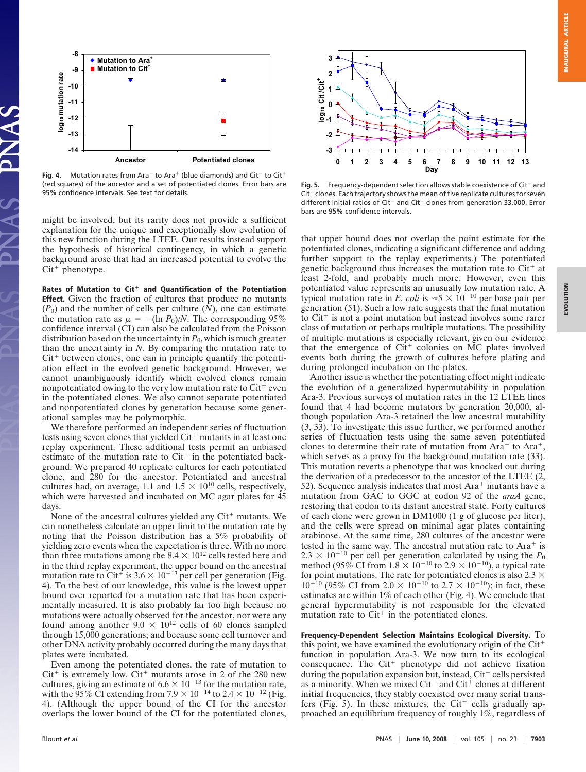EVOLUTION



Fig. 4. Mutation rates from Ara<sup>-</sup> to Ara<sup>+</sup> (blue diamonds) and Cit<sup>-</sup> to Cit<sup>+</sup> (red squares) of the ancestor and a set of potentiated clones. Error bars are 95% confidence intervals. See text for details.

might be involved, but its rarity does not provide a sufficient explanation for the unique and exceptionally slow evolution of this new function during the LTEE. Our results instead support the hypothesis of historical contingency, in which a genetic background arose that had an increased potential to evolve the  $Cit^+$  phenotype.

**Rates of Mutation to Cit and Quantification of the Potentiation Effect.** Given the fraction of cultures that produce no mutants  $(P_0)$  and the number of cells per culture  $(N)$ , one can estimate the mutation rate as  $\mu = -(\ln P_0)/N$ . The corresponding 95% confidence interval (CI) can also be calculated from the Poisson distribution based on the uncertainty in  $P_0$ , which is much greater than the uncertainty in *N*. By comparing the mutation rate to Cit<sup>+</sup> between clones, one can in principle quantify the potentiation effect in the evolved genetic background. However, we cannot unambiguously identify which evolved clones remain nonpotentiated owing to the very low mutation rate to Cit<sup>+</sup> even in the potentiated clones. We also cannot separate potentiated and nonpotentiated clones by generation because some generational samples may be polymorphic.

We therefore performed an independent series of fluctuation tests using seven clones that yielded Cit<sup>+</sup> mutants in at least one replay experiment. These additional tests permit an unbiased estimate of the mutation rate to  $Cit^+$  in the potentiated background. We prepared 40 replicate cultures for each potentiated clone, and 280 for the ancestor. Potentiated and ancestral cultures had, on average, 1.1 and  $1.5 \times 10^{10}$  cells, respectively, which were harvested and incubated on MC agar plates for 45 days.

None of the ancestral cultures yielded any  $Cit^+$  mutants. We can nonetheless calculate an upper limit to the mutation rate by noting that the Poisson distribution has a 5% probability of yielding zero events when the expectation is three. With no more than three mutations among the  $8.4 \times 10^{12}$  cells tested here and in the third replay experiment, the upper bound on the ancestral mutation rate to Cit<sup>+</sup> is 3.6  $\times$  10<sup>-13</sup> per cell per generation (Fig. 4). To the best of our knowledge, this value is the lowest upper bound ever reported for a mutation rate that has been experimentally measured. It is also probably far too high because no mutations were actually observed for the ancestor, nor were any found among another  $9.0 \times 10^{12}$  cells of 60 clones sampled through 15,000 generations; and because some cell turnover and other DNA activity probably occurred during the many days that plates were incubated.

Even among the potentiated clones, the rate of mutation to  $Cit^+$  is extremely low.  $Cit^+$  mutants arose in 2 of the 280 new cultures, giving an estimate of  $6.6 \times 10^{-13}$  for the mutation rate, with the 95% CI extending from  $7.9 \times 10^{-14}$  to 2.4  $\times 10^{-12}$  (Fig. 4). (Although the upper bound of the CI for the ancestor overlaps the lower bound of the CI for the potentiated clones,



Fig. 5. Frequency-dependent selection allows stable coexistence of Cit<sup>-</sup> and Cit<sup>+</sup> clones. Each trajectory shows the mean of five replicate cultures for seven different initial ratios of  $Cit^-$  and  $Cit^+$  clones from generation 33,000. Error bars are 95% confidence intervals.

that upper bound does not overlap the point estimate for the potentiated clones, indicating a significant difference and adding further support to the replay experiments.) The potentiated genetic background thus increases the mutation rate to Cit<sup>+</sup> at least 2-fold, and probably much more. However, even this potentiated value represents an unusually low mutation rate. A typical mutation rate in *E. coli* is  $\approx 5 \times 10^{-10}$  per base pair per generation (51). Such a low rate suggests that the final mutation to Cit<sup>+</sup> is not a point mutation but instead involves some rarer class of mutation or perhaps multiple mutations. The possibility of multiple mutations is especially relevant, given our evidence that the emergence of  $Cit^+$  colonies on MC plates involved events both during the growth of cultures before plating and during prolonged incubation on the plates.

Another issue is whether the potentiating effect might indicate the evolution of a generalized hypermutability in population Ara-3. Previous surveys of mutation rates in the 12 LTEE lines found that 4 had become mutators by generation 20,000, although population Ara-3 retained the low ancestral mutability (3, 33). To investigate this issue further, we performed another series of fluctuation tests using the same seven potentiated clones to determine their rate of mutation from  $Ara^{-}$  to  $Ara^{+}$ , which serves as a proxy for the background mutation rate  $(33)$ . This mutation reverts a phenotype that was knocked out during the derivation of a predecessor to the ancestor of the LTEE (2, 52). Sequence analysis indicates that most  $Ara<sup>+</sup>$  mutants have a mutation from GAC to GGC at codon 92 of the *araA* gene, restoring that codon to its distant ancestral state. Forty cultures of each clone were grown in DM1000 (1 g of glucose per liter), and the cells were spread on minimal agar plates containing arabinose. At the same time, 280 cultures of the ancestor were tested in the same way. The ancestral mutation rate to  $Ara<sup>+</sup>$  is  $2.3 \times 10^{-10}$  per cell per generation calculated by using the *P*<sub>0</sub> method (95% CI from  $1.8 \times 10^{-10}$  to  $2.9 \times 10^{-10}$ ), a typical rate for point mutations. The rate for potentiated clones is also 2.3  $\times$  $10^{-10}$  (95% CI from 2.0  $\times$  10<sup>-10</sup> to 2.7  $\times$  10<sup>-10</sup>); in fact, these estimates are within 1% of each other (Fig. 4). We conclude that general hypermutability is not responsible for the elevated mutation rate to  $Cit^+$  in the potentiated clones.

**Frequency-Dependent Selection Maintains Ecological Diversity.** To this point, we have examined the evolutionary origin of the Cit function in population Ara-3. We now turn to its ecological consequence. The Cit<sup>+</sup> phenotype did not achieve fixation during the population expansion but, instead,  $Cit^-$  cells persisted as a minority. When we mixed Cit<sup>-</sup> and Cit<sup>+</sup> clones at different initial frequencies, they stably coexisted over many serial transfers (Fig. 5). In these mixtures, the  $Cit^-$  cells gradually approached an equilibrium frequency of roughly 1%, regardless of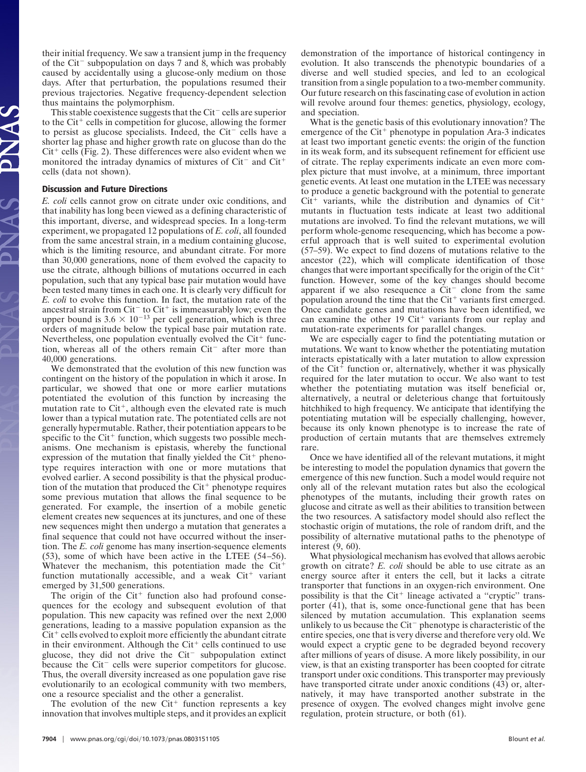their initial frequency. We saw a transient jump in the frequency of the Cit<sup>-</sup> subpopulation on days 7 and 8, which was probably caused by accidentally using a glucose-only medium on those days. After that perturbation, the populations resumed their previous trajectories. Negative frequency-dependent selection thus maintains the polymorphism.

This stable coexistence suggests that the  $Cit^-$  cells are superior to the Cit<sup>+</sup> cells in competition for glucose, allowing the former to persist as glucose specialists. Indeed, the Cit<sup>-</sup> cells have a shorter lag phase and higher growth rate on glucose than do the  $Cit^+$  cells (Fig. 2). These differences were also evident when we monitored the intraday dynamics of mixtures of Cit<sup>-</sup> and Cit<sup>+</sup> cells (data not shown).

#### **Discussion and Future Directions**

*E. coli* cells cannot grow on citrate under oxic conditions, and that inability has long been viewed as a defining characteristic of this important, diverse, and widespread species. In a long-term experiment, we propagated 12 populations of *E. coli*, all founded from the same ancestral strain, in a medium containing glucose, which is the limiting resource, and abundant citrate. For more than 30,000 generations, none of them evolved the capacity to use the citrate, although billions of mutations occurred in each population, such that any typical base pair mutation would have been tested many times in each one. It is clearly very difficult for *E. coli* to evolve this function. In fact, the mutation rate of the ancestral strain from  $Cit^-$  to  $Cit^+$  is immeasurably low; even the upper bound is 3.6  $\times$  10<sup>-13</sup> per cell generation, which is three orders of magnitude below the typical base pair mutation rate. Nevertheless, one population eventually evolved the  $Cit<sup>+</sup>$  function, whereas all of the others remain Cit<sup>-</sup> after more than 40,000 generations.

We demonstrated that the evolution of this new function was contingent on the history of the population in which it arose. In particular, we showed that one or more earlier mutations potentiated the evolution of this function by increasing the mutation rate to  $Cit^+$ , although even the elevated rate is much lower than a typical mutation rate. The potentiated cells are not generally hypermutable. Rather, their potentiation appears to be specific to the Cit<sup>+</sup> function, which suggests two possible mechanisms. One mechanism is epistasis, whereby the functional expression of the mutation that finally yielded the  $Cit<sup>+</sup>$  phenotype requires interaction with one or more mutations that evolved earlier. A second possibility is that the physical production of the mutation that produced the Cit<sup>+</sup> phenotype requires some previous mutation that allows the final sequence to be generated. For example, the insertion of a mobile genetic element creates new sequences at its junctures, and one of these new sequences might then undergo a mutation that generates a final sequence that could not have occurred without the insertion. The *E. coli* genome has many insertion-sequence elements (53), some of which have been active in the LTEE (54–56). Whatever the mechanism, this potentiation made the Cit<sup>+</sup> function mutationally accessible, and a weak Cit<sup>+</sup> variant emerged by 31,500 generations.

The origin of the  $Cit^+$  function also had profound consequences for the ecology and subsequent evolution of that population. This new capacity was refined over the next 2,000 generations, leading to a massive population expansion as the Cit<sup>+</sup> cells evolved to exploit more efficiently the abundant citrate in their environment. Although the  $Cit^+$  cells continued to use glucose, they did not drive the  $Cit^-$  subpopulation extinct because the  $Cit^-$  cells were superior competitors for glucose. Thus, the overall diversity increased as one population gave rise evolutionarily to an ecological community with two members, one a resource specialist and the other a generalist.

The evolution of the new  $Cit^+$  function represents a key innovation that involves multiple steps, and it provides an explicit demonstration of the importance of historical contingency in evolution. It also transcends the phenotypic boundaries of a diverse and well studied species, and led to an ecological transition from a single population to a two-member community. Our future research on this fascinating case of evolution in action will revolve around four themes: genetics, physiology, ecology, and speciation.

What is the genetic basis of this evolutionary innovation? The emergence of the Cit<sup>+</sup> phenotype in population Ara-3 indicates at least two important genetic events: the origin of the function in its weak form, and its subsequent refinement for efficient use of citrate. The replay experiments indicate an even more complex picture that must involve, at a minimum, three important genetic events. At least one mutation in the LTEE was necessary to produce a genetic background with the potential to generate  $Cit^+$  variants, while the distribution and dynamics of  $Cit^+$ mutants in fluctuation tests indicate at least two additional mutations are involved. To find the relevant mutations, we will perform whole-genome resequencing, which has become a powerful approach that is well suited to experimental evolution (57–59). We expect to find dozens of mutations relative to the ancestor (22), which will complicate identification of those changes that were important specifically for the origin of the Cit function. However, some of the key changes should become apparent if we also resequence a  $Cit^-$  clone from the same population around the time that the Cit<sup>+</sup> variants first emerged. Once candidate genes and mutations have been identified, we can examine the other 19 Cit<sup>+</sup> variants from our replay and mutation-rate experiments for parallel changes.

We are especially eager to find the potentiating mutation or mutations. We want to know whether the potentiating mutation interacts epistatically with a later mutation to allow expression of the Cit<sup>+</sup> function or, alternatively, whether it was physically required for the later mutation to occur. We also want to test whether the potentiating mutation was itself beneficial or, alternatively, a neutral or deleterious change that fortuitously hitchhiked to high frequency. We anticipate that identifying the potentiating mutation will be especially challenging, however, because its only known phenotype is to increase the rate of production of certain mutants that are themselves extremely rare.

Once we have identified all of the relevant mutations, it might be interesting to model the population dynamics that govern the emergence of this new function. Such a model would require not only all of the relevant mutation rates but also the ecological phenotypes of the mutants, including their growth rates on glucose and citrate as well as their abilities to transition between the two resources. A satisfactory model should also reflect the stochastic origin of mutations, the role of random drift, and the possibility of alternative mutational paths to the phenotype of interest (9, 60).

What physiological mechanism has evolved that allows aerobic growth on citrate? *E. coli* should be able to use citrate as an energy source after it enters the cell, but it lacks a citrate transporter that functions in an oxygen-rich environment. One possibility is that the Cit<sup>+</sup> lineage activated a "cryptic" transporter (41), that is, some once-functional gene that has been silenced by mutation accumulation. This explanation seems unlikely to us because the  $Cit^-$  phenotype is characteristic of the entire species, one that is very diverse and therefore very old. We would expect a cryptic gene to be degraded beyond recovery after millions of years of disuse. A more likely possibility, in our view, is that an existing transporter has been coopted for citrate transport under oxic conditions. This transporter may previously have transported citrate under anoxic conditions (43) or, alternatively, it may have transported another substrate in the presence of oxygen. The evolved changes might involve gene regulation, protein structure, or both (61).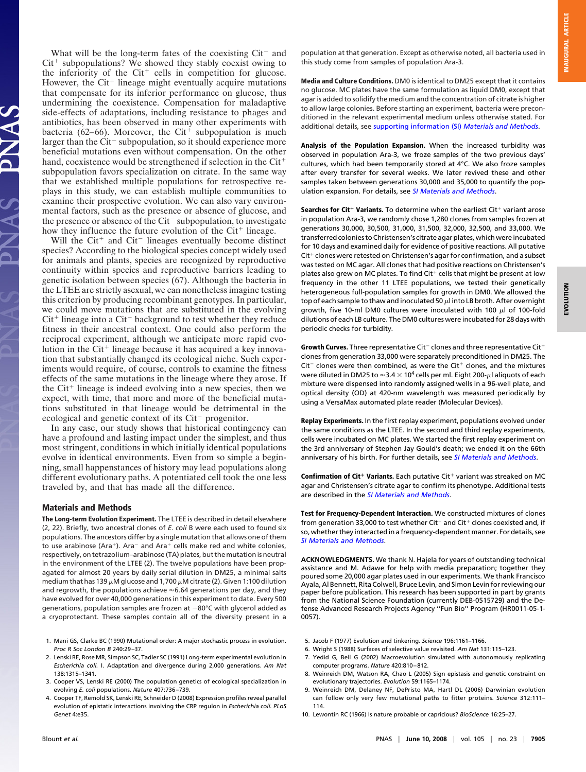What will be the long-term fates of the coexisting  $Cit^-$  and Cit<sup>+</sup> subpopulations? We showed they stably coexist owing to the inferiority of the  $Cit^+$  cells in competition for glucose. However, the Cit<sup>+</sup> lineage might eventually acquire mutations that compensate for its inferior performance on glucose, thus undermining the coexistence. Compensation for maladaptive side-effects of adaptations, including resistance to phages and antibiotics, has been observed in many other experiments with bacteria (62–66). Moreover, the Cit<sup>+</sup> subpopulation is much larger than the Cit<sup> $-$ </sup> subpopulation, so it should experience more beneficial mutations even without compensation. On the other hand, coexistence would be strengthened if selection in the Cit<sup>+</sup> subpopulation favors specialization on citrate. In the same way that we established multiple populations for retrospective replays in this study, we can establish multiple communities to examine their prospective evolution. We can also vary environmental factors, such as the presence or absence of glucose, and the presence or absence of the  $Cit^-$  subpopulation, to investigate how they influence the future evolution of the Cit<sup>+</sup> lineage.

Will the Cit<sup>+</sup> and Cit<sup>-</sup> lineages eventually become distinct species? According to the biological species concept widely used for animals and plants, species are recognized by reproductive continuity within species and reproductive barriers leading to genetic isolation between species (67). Although the bacteria in the LTEE are strictly asexual, we can nonetheless imagine testing this criterion by producing recombinant genotypes. In particular, we could move mutations that are substituted in the evolving Cit<sup>+</sup> lineage into a Cit<sup>-</sup> background to test whether they reduce fitness in their ancestral context. One could also perform the reciprocal experiment, although we anticipate more rapid evolution in the Cit<sup>+</sup> lineage because it has acquired a key innovation that substantially changed its ecological niche. Such experiments would require, of course, controls to examine the fitness effects of the same mutations in the lineage where they arose. If the Cit<sup>+</sup> lineage is indeed evolving into a new species, then we expect, with time, that more and more of the beneficial mutations substituted in that lineage would be detrimental in the ecological and genetic context of its  $Cit$ <sup>-</sup> progenitor.

In any case, our study shows that historical contingency can have a profound and lasting impact under the simplest, and thus most stringent, conditions in which initially identical populations evolve in identical environments. Even from so simple a beginning, small happenstances of history may lead populations along different evolutionary paths. A potentiated cell took the one less traveled by, and that has made all the difference.

#### **Materials and Methods**

**The Long-term Evolution Experiment.** The LTEE is described in detail elsewhere (2, 22). Briefly, two ancestral clones of *E. coli* B were each used to found six populations. The ancestors differ by a single mutation that allows one of them to use arabinose (Ara<sup>+</sup>). Ara<sup>-</sup> and Ara<sup>+</sup> cells make red and white colonies, respectively, on tetrazolium–arabinose (TA) plates, but the mutation is neutral in the environment of the LTEE (2). The twelve populations have been propagated for almost 20 years by daily serial dilution in DM25, a minimal salts medium that has 139  $\mu$ M glucose and 1,700  $\mu$ M citrate (2). Given 1:100 dilution and regrowth, the populations achieve  $\approx$  6.64 generations per day, and they have evolved for over 40,000 generations in this experiment to date. Every 500 generations, population samples are frozen at  $-80^{\circ}$ C with glycerol added as a cryoprotectant. These samples contain all of the diversity present in a

- 1. Mani GS, Clarke BC (1990) Mutational order: A major stochastic process in evolution. *Proc R Soc London B* 240:29 –37.
- 2. Lenski RE, Rose MR, Simpson SC, Tadler SC (1991) Long-term experimental evolution in *Escherichia coli.* I. Adaptation and divergence during 2,000 generations*. Am Nat* 138:1315–1341.
- 3. Cooper VS, Lenski RE (2000) The population genetics of ecological specialization in evolving *E. coli* populations. *Nature* 407:736 –739.
- 4. Cooper TF, Remold SK, Lenski RE, Schneider D (2008) Expression profiles reveal parallel evolution of epistatic interactions involving the CRP regulon in *Escherichia coli. PLoS Genet* 4:e35.

population at that generation. Except as otherwise noted, all bacteria used in this study come from samples of population Ara-3.

**Media and Culture Conditions.** DM0 is identical to DM25 except that it contains no glucose. MC plates have the same formulation as liquid DM0, except that agar is added to solidify the medium and the concentration of citrate is higher to allow large colonies. Before starting an experiment, bacteria were preconditioned in the relevant experimental medium unless otherwise stated. For additional details, see [supporting information \(SI\)](http://www.pnas.org/cgi/data/0803151105/DCSupplemental/Supplemental_PDF#nameddest=STXT) *Materials and Methods*.

**Analysis of the Population Expansion.** When the increased turbidity was observed in population Ara-3, we froze samples of the two previous days' cultures, which had been temporarily stored at 4°C. We also froze samples after every transfer for several weeks. We later revived these and other samples taken between generations 30,000 and 35,000 to quantify the population expansion. For details, see *[SI Materials and Methods](http://www.pnas.org/cgi/data/0803151105/DCSupplemental/Supplemental_PDF#nameddest=STXT)*.

Searches for Cit<sup>+</sup> Variants. To determine when the earliest Cit<sup>+</sup> variant arose in population Ara-3, we randomly chose 1,280 clones from samples frozen at generations 30,000, 30,500, 31,000, 31,500, 32,000, 32,500, and 33,000. We transferred colonies to Christensen's citrate agar plates, which were incubated for 10 days and examined daily for evidence of positive reactions. All putative Cit<sup>+</sup> clones were retested on Christensen's agar for confirmation, and a subset was tested on MC agar. All clones that had positive reactions on Christensen's plates also grew on MC plates. To find Cit<sup>+</sup> cells that might be present at low frequency in the other 11 LTEE populations, we tested their genetically heterogeneous full-population samples for growth in DM0. We allowed the top of each sample to thaw and inoculated 50  $\mu$ l into LB broth. After overnight growth, five 10-ml DM0 cultures were inoculated with 100  $\mu$ l of 100-fold dilutions of each LB culture. The DM0 cultures were incubated for 28 days with periodic checks for turbidity.

Growth Curves. Three representative Cit<sup>-</sup> clones and three representative Cit<sup>+</sup> clones from generation 33,000 were separately preconditioned in DM25. The  $Cit^-$  clones were then combined, as were the  $Cit^+$  clones, and the mixtures were diluted in DM25 to  $\approx$  3.4  $\times$  10<sup>4</sup> cells per ml. Eight 200- $\mu$ l aliquots of each mixture were dispensed into randomly assigned wells in a 96-well plate, and optical density (OD) at 420-nm wavelength was measured periodically by using a VersaMax automated plate reader (Molecular Devices).

**Replay Experiments.** In the first replay experiment, populations evolved under the same conditions as the LTEE. In the second and third replay experiments, cells were incubated on MC plates. We started the first replay experiment on the 3rd anniversary of Stephen Jay Gould's death; we ended it on the 66th anniversary of his birth. For further details, see *[SI Materials and Methods](http://www.pnas.org/cgi/data/0803151105/DCSupplemental/Supplemental_PDF#nameddest=STXT)*.

**Confirmation of Cit<sup>+</sup> Variants.** Each putative Cit<sup>+</sup> variant was streaked on MC agar and Christensen's citrate agar to confirm its phenotype. Additional tests are described in the *[SI Materials and Methods](http://www.pnas.org/cgi/data/0803151105/DCSupplemental/Supplemental_PDF#nameddest=STXT)*.

**Test for Frequency-Dependent Interaction.** We constructed mixtures of clones from generation 33,000 to test whether Cit $^-$  and Cit $^+$  clones coexisted and, if so, whether they interacted in a frequency-dependent manner. For details, see *[SI Materials and Methods](http://www.pnas.org/cgi/data/0803151105/DCSupplemental/Supplemental_PDF#nameddest=STXT)*.

**ACKNOWLEDGMENTS.** We thank N. Hajela for years of outstanding technical assistance and M. Adawe for help with media preparation; together they poured some 20,000 agar plates used in our experiments. We thank Francisco Ayala, Al Bennett, Rita Colwell, Bruce Levin, and Simon Levin for reviewing our paper before publication. This research has been supported in part by grants from the National Science Foundation (currently DEB-0515729) and the Defense Advanced Research Projects Agency ''Fun Bio'' Program (HR0011-05-1- 0057).

- 5. Jacob F (1977) Evolution and tinkering. *Science* 196:1161–1166.
- 6. Wright S (1988) Surfaces of selective value revisited. *Am Nat* 131:115–123.
- 7. Yedid G, Bell G (2002) Macroevolution simulated with autonomously replicating computer programs. *Nature* 420:810 – 812.
- 8. Weinreich DM, Watson RA, Chao L (2005) Sign epistasis and genetic constraint on evolutionary trajectories. *Evolution* 59:1165–1174.
- 9. Weinreich DM, Delaney NF, DePristo MA, Hartl DL (2006) Darwinian evolution can follow only very few mutational paths to fitter proteins. *Science* 312:111– 114.
- 10. Lewontin RC (1966) Is nature probable or capricious? *BioScience* 16:25–27.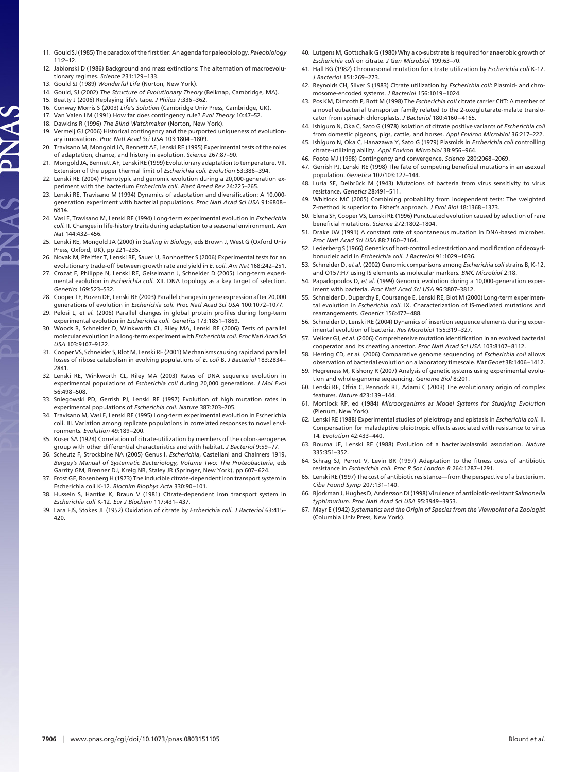- 11. Gould SJ (1985) The paradox of the first tier: An agenda for paleobiology. *Paleobiology* 11:2–12.
- 12. Jablonski D (1986) Background and mass extinctions: The alternation of macroevolutionary regimes. *Science* 231:129 –133.
- 13. Gould SJ (1989) *Wonderful Life* (Norton, New York).

JAS

- 14. Gould, SJ (2002) *The Structure of Evolutionary Theory* (Belknap, Cambridge, MA).
- 15. Beatty J (2006) Replaying life's tape. *J Philos* 7:336 –362.
- 16. Conway Morris S (2003) *Life's Solution* (Cambridge Univ Press, Cambridge, UK).
- 17. Van Valen LM (1991) How far does contingency rule? *Evol Theory* 10:47–52.
- 18. Dawkins R (1996) *The Blind Watchmaker* (Norton, New York).
- 19. Vermeij GJ (2006) Historical contingency and the purported uniqueness of evolutionary innovations. *Proc Natl Acad Sci USA* 103:1804 –1809.
- 20. Travisano M, Mongold JA, Bennett AF, Lenski RE (1995) Experimental tests of the roles of adaptation, chance, and history in evolution. *Science* 267:87–90.
- 21. Mongold JA, Bennett AF, Lenski RE (1999) Evolutionary adaptation to temperature. VII. Extension of the upper thermal limit of *Escherichia coli. Evolution* 53:386 –394.
- 22. Lenski RE (2004) Phenotypic and genomic evolution during a 20,000-generation experiment with the bacterium *Escherichia coli. Plant Breed Rev* 24:225–265.
- 23. Lenski RE, Travisano M (1994) Dynamics of adaptation and diversification: A 10,000 generation experiment with bacterial populations. *Proc Natl Acad Sci USA* 91:6808 – 6814.
- 24. Vasi F, Travisano M, Lenski RE (1994) Long-term experimental evolution in *Escherichia coli.* II. Changes in life-history traits during adaptation to a seasonal environment. *Am Nat* 144:432– 456.
- 25. Lenski RE, Mongold JA (2000) in *Scaling in Biology*, eds Brown J, West G (Oxford Univ Press, Oxford, UK), pp 221–235.
- 26. Novak M, Pfeiffer T, Lenski RE, Sauer U, Bonhoeffer S (2006) Experimental tests for an evolutionary trade-off between growth rate and yield in *E. coli. Am Nat* 168:242–251.
- 27. Crozat E, Philippe N, Lenski RE, Geiselmann J, Schneider D (2005) Long-term experimental evolution in *Escherichia coli.* XII. DNA topology as a key target of selection. *Genetics* 169:523–532.
- 28. Cooper TF, Rozen DE, Lenski RE (2003) Parallel changes in gene expression after 20,000 generations of evolution in *Escherichia coli. Proc Natl Acad Sci USA* 100:1072–1077.
- 29. Pelosi L, *et al.* (2006) Parallel changes in global protein profiles during long-term experimental evolution in *Escherichia coli. Genetics* 173:1851–1869.
- 30. Woods R, Schneider D, Winkworth CL, Riley MA, Lenski RE (2006) Tests of parallel molecular evolution in a long-term experiment with *Escherichia coli. Proc Natl Acad Sci USA* 103:9107–9122.
- 31. Cooper VS, Schneider S, Blot M, Lenski RE (2001) Mechanisms causing rapid and parallel losses of ribose catabolism in evolving populations of *E. coli* B. *J Bacteriol* 183:2834 – 2841.
- 32. Lenski RE, Winkworth CL, Riley MA (2003) Rates of DNA sequence evolution in experimental populations of *Escherichia coli* during 20,000 generations. *J Mol Evol* 56:498 –508.
- 33. Sniegowski PD, Gerrish PJ, Lenski RE (1997) Evolution of high mutation rates in experimental populations of *Escherichia coli*. *Nature* 387:703–705.
- 34. Travisano M, Vasi F, Lenski RE (1995) Long-term experimental evolution in Escherichia coli. III. Variation among replicate populations in correlated responses to novel environments. *Evolution* 49:189 –200.
- 35. Koser SA (1924) Correlation of citrate-utilization by members of the colon-aerogenes group with other differential characteristics and with habitat. *J Bacteriol* 9:59 –77.
- 36. Scheutz F, Strockbine NA (2005) Genus I. *Escherichia*, Castellani and Chalmers 1919, *Bergey's Manual of Systematic Bacteriology, Volume Two: The Proteobacteria*, eds Garrity GM, Brenner DJ, Kreig NR, Staley JR (Springer, New York), pp 607– 624.
- 37. Frost GE, Rosenberg H (1973) The inducible citrate-dependent iron transport system in Escherichia coli K-12. *Biochim Biophys Acta* 330:90 –101.
- 38. Hussein S, Hantke K, Braun V (1981) Citrate-dependent iron transport system in *Escherichia coli* K-12. *Eur J Biochem* 117:431– 437.
- 39. Lara FJS, Stokes JL (1952) Oxidation of citrate by *Escherichia coli. J Bacteriol* 63:415– 420.
- 40. Lutgens M, Gottschalk G (1980) Why a co-substrate is required for anaerobic growth of *Escherichia coli* on citrate. *J Gen Microbiol* 199:63–70.
- 41. Hall BG (1982) Chromosomal mutation for citrate utilization by *Escherichia coli* K-12. *J Bacteriol* 151:269 –273.
- 42. Reynolds CH, Silver S (1983) Citrate utilization by *Escherichia coli*: Plasmid- and chromosome-encoded systems. *J Bacteriol* 156:1019 –1024.
- 43. Pos KM, Dimroth P, Bott M (1998) The *Escherichia coli* citrate carrier CitT: A member of a novel eubacterial transporter family related to the 2-oxoglutarate-malate translocator from spinach chloroplasts. *J Bacteriol* 180:4160 – 4165.
- 44. Ishiguro N, Oka C, Sato G (1978) Isolation of citrate positive variants of *Escherichia coli* from domestic pigeons, pigs, cattle, and horses. *Appl Environ Microbiol* 36:217–222.
- 45. Ishiguro N, Oka C, Hanazawa Y, Sato G (1979) Plasmids in *Escherichia coli* controlling citrate-utilizing ability. *Appl Environ Microbiol* 38:956 –964.
- 46. Foote MJ (1998) Contingency and convergence. *Science* 280:2068 –2069.
- 47. Gerrish PJ, Lenski RE (1998) The fate of competing beneficial mutations in an asexual population. *Genetica* 102/103:127–144.
- 48. Luria SE, Delbrück M (1943) Mutations of bacteria from virus sensitivity to virus resistance. *Genetics* 28:491–511.
- 49. Whitlock MC (2005) Combining probability from independent tests: The weighted Z-method is superior to Fisher's approach. *J Evol Biol* 18:1368 –1373.
- 50. Elena SF, Cooper VS, Lenski RE (1996) Punctuated evolution caused by selection of rare beneficial mutations. *Science* 272:1802–1804.
- 51. Drake JW (1991) A constant rate of spontaneous mutation in DNA-based microbes. *Proc Natl Acad Sci USA* 88:7160 –7164.
- 52. Lederberg S (1966) Genetics of host-controlled restriction and modification of deoxyribonucleic acid in *Escherichia coli. J Bacteriol* 91:1029 –1036.
- 53. Schneider D, *et al.* (2002) Genomic comparisons among *Escherichia coli* strains B, K-12, and O157:H7 using IS elements as molecular markers. *BMC Microbiol* 2:18.
- 54. Papadopoulos D, *et al.* (1999) Genomic evolution during a 10,000-generation experiment with bacteria. *Proc Natl Acad Sci USA* 96:3807–3812.
- 55. Schneider D, Duperchy E, Coursange E, Lenski RE, Blot M (2000) Long-term experimental evolution in *Escherichia coli.* IX. Characterization of IS-mediated mutations and rearrangements*. Genetics* 156:477– 488.
- 56. Schneider D, Lenski RE (2004) Dynamics of insertion sequence elements during experimental evolution of bacteria. *Res Microbiol* 155:319 –327.
- 57. Velicer GJ, *et al.* (2006) Comprehensive mutation identification in an evolved bacterial cooperator and its cheating ancestor. *Proc Natl Acad Sci USA* 103:8107– 8112.
- 58. Herring CD, *et al.* (2006) Comparative genome sequencing of *Escherichia coli* allows observation of bacterial evolution on a laboratory timescale. *Nat Genet* 38:1406 –1412.
- 59. Hegreness M, Kishony R (2007) Analysis of genetic systems using experimental evolution and whole-genome sequencing. *Genome Biol* 8:201.
- 60. Lenski RE, Ofria C, Pennock RT, Adami C (2003) The evolutionary origin of complex features. *Nature* 423:139 –144.
- 61. Mortlock RP, ed (1984) *Microorganisms as Model Systems for Studying Evolution* (Plenum, New York).
- 62. Lenski RE (1988) Experimental studies of pleiotropy and epistasis in *Escherichia coli.* II. Compensation for maladaptive pleiotropic effects associated with resistance to virus T4*. Evolution* 42:433– 440.
- 63. Bouma JE, Lenski RE (1988) Evolution of a bacteria/plasmid association. *Nature* 335:351–352.
- 64. Schrag SJ, Perrot V, Levin BR (1997) Adaptation to the fitness costs of antibiotic resistance in *Escherichia coli. Proc R Soc London B* 264:1287–1291.
- 65. Lenski RE (1997) The cost of antibiotic resistance—from the perspective of a bacterium. *Ciba Found Symp* 207:131–140.
- 66. Bjorkman J, Hughes D, Andersson DI (1998) Virulence of antibiotic-resistant *Salmonella typhimurium. Proc Natl Acad Sci USA* 95:3949 –3953.
- 67. Mayr E (1942) *Systematics and the Origin of Species from the Viewpoint of a Zoologist* (Columbia Univ Press, New York).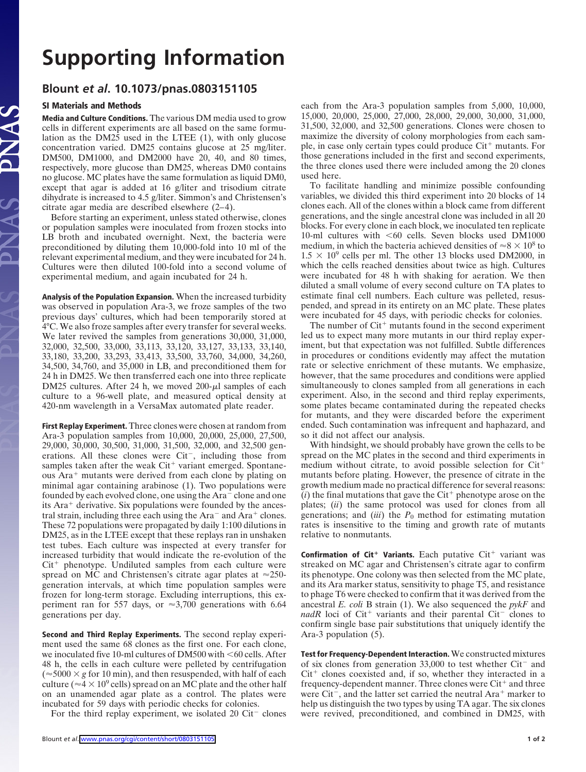# **Supporting Information**

### **Blount** *et al***. 10.1073/pnas.0803151105**

### **SI Materials and Methods**

**Media and Culture Conditions.** The various DM media used to grow cells in different experiments are all based on the same formulation as the  $DM2\bar{5}$  used in the LTEE (1), with only glucose concentration varied. DM25 contains glucose at 25 mg/liter. DM500, DM1000, and DM2000 have 20, 40, and 80 times, respectively, more glucose than DM25, whereas DM0 contains no glucose. MC plates have the same formulation as liquid DM0, except that agar is added at 16 g/liter and trisodium citrate dihydrate is increased to 4.5 g/liter. Simmon's and Christensen's citrate agar media are described elsewhere (2–4).

Before starting an experiment, unless stated otherwise, clones or population samples were inoculated from frozen stocks into LB broth and incubated overnight. Next, the bacteria were preconditioned by diluting them 10,000-fold into 10 ml of the relevant experimental medium, and they were incubated for 24 h. Cultures were then diluted 100-fold into a second volume of experimental medium, and again incubated for 24 h.

**Analysis of the Population Expansion.** When the increased turbidity was observed in population Ara-3, we froze samples of the two previous days' cultures, which had been temporarily stored at 4°C. We also froze samples after every transfer for several weeks. We later revived the samples from generations 30,000, 31,000, 32,000, 32,500, 33,000, 33,113, 33,120, 33,127, 33,133, 33,140, 33,180, 33,200, 33,293, 33,413, 33,500, 33,760, 34,000, 34,260, 34,500, 34,760, and 35,000 in LB, and preconditioned them for 24 h in DM25. We then transferred each one into three replicate DM25 cultures. After 24 h, we moved  $200-\mu l$  samples of each culture to a 96-well plate, and measured optical density at 420-nm wavelength in a VersaMax automated plate reader.

**First Replay Experiment.** Three clones were chosen at random from Ara-3 population samples from 10,000, 20,000, 25,000, 27,500, 29,000, 30,000, 30,500, 31,000, 31,500, 32,000, and 32,500 generations. All these clones were Cit<sup>-</sup>, including those from samples taken after the weak Cit<sup>+</sup> variant emerged. Spontaneous Ara<sup>+</sup> mutants were derived from each clone by plating on minimal agar containing arabinose (1). Two populations were founded by each evolved clone, one using the Ara<sup>-</sup> clone and one its Ara<sup>+</sup> derivative. Six populations were founded by the ancestral strain, including three each using the Ara<sup>-</sup> and Ara<sup>+</sup> clones. These 72 populations were propagated by daily 1:100 dilutions in DM25, as in the LTEE except that these replays ran in unshaken test tubes. Each culture was inspected at every transfer for increased turbidity that would indicate the re-evolution of the Cit<sup>+</sup> phenotype. Undiluted samples from each culture were spread on MC and Christensen's citrate agar plates at  $\approx 250$ generation intervals, at which time population samples were frozen for long-term storage. Excluding interruptions, this experiment ran for 557 days, or  $\approx 3,700$  generations with 6.64 generations per day.

**Second and Third Replay Experiments.** The second replay experiment used the same 68 clones as the first one. For each clone, we inoculated five 10-ml cultures of DM500 with  $<$  60 cells. After 48 h, the cells in each culture were pelleted by centrifugation  $\approx 5000 \times g$  for 10 min), and then resuspended, with half of each culture ( $\approx$ 4  $\times$  10<sup>9</sup> cells) spread on an MC plate and the other half on an unamended agar plate as a control. The plates were incubated for 59 days with periodic checks for colonies.

For the third replay experiment, we isolated  $20$  Cit<sup>-</sup> clones

each from the Ara-3 population samples from 5,000, 10,000, 15,000, 20,000, 25,000, 27,000, 28,000, 29,000, 30,000, 31,000, 31,500, 32,000, and 32,500 generations. Clones were chosen to maximize the diversity of colony morphologies from each sample, in case only certain types could produce Cit<sup>+</sup> mutants. For those generations included in the first and second experiments, the three clones used there were included among the 20 clones used here.

To facilitate handling and minimize possible confounding variables, we divided this third experiment into 20 blocks of 14 clones each. All of the clones within a block came from different generations, and the single ancestral clone was included in all 20 blocks. For every clone in each block, we inoculated ten replicate 10-ml cultures with  $<60$  cells. Seven blocks used DM1000 medium, in which the bacteria achieved densities of  $\approx 8 \times 10^8$  to  $1.5 \times 10^9$  cells per ml. The other 13 blocks used DM2000, in which the cells reached densities about twice as high. Cultures were incubated for 48 h with shaking for aeration. We then diluted a small volume of every second culture on TA plates to estimate final cell numbers. Each culture was pelleted, resuspended, and spread in its entirety on an MC plate. These plates were incubated for 45 days, with periodic checks for colonies.

The number of Cit<sup>+</sup> mutants found in the second experiment led us to expect many more mutants in our third replay experiment, but that expectation was not fulfilled. Subtle differences in procedures or conditions evidently may affect the mutation rate or selective enrichment of these mutants. We emphasize, however, that the same procedures and conditions were applied simultaneously to clones sampled from all generations in each experiment. Also, in the second and third replay experiments, some plates became contaminated during the repeated checks for mutants, and they were discarded before the experiment ended. Such contamination was infrequent and haphazard, and so it did not affect our analysis.

With hindsight, we should probably have grown the cells to be spread on the MC plates in the second and third experiments in medium without citrate, to avoid possible selection for Cit mutants before plating. However, the presence of citrate in the growth medium made no practical difference for several reasons:  $(i)$  the final mutations that gave the Cit<sup>+</sup> phenotype arose on the plates; (*ii*) the same protocol was used for clones from all generations; and  $(iii)$  the  $P_0$  method for estimating mutation rates is insensitive to the timing and growth rate of mutants relative to nonmutants.

Confirmation of Cit<sup>+</sup> Variants. Each putative Cit<sup>+</sup> variant was streaked on MC agar and Christensen's citrate agar to confirm its phenotype. One colony was then selected from the MC plate, and its Ara marker status, sensitivity to phage T5, and resistance to phage T6 were checked to confirm that it was derived from the ancestral *E. coli* B strain (1). We also sequenced the *pykF* and  $nadR$  loci of Cit<sup>+</sup> variants and their parental Cit<sup>-</sup> clones to confirm single base pair substitutions that uniquely identify the Ara-3 population (5).

**Test for Frequency-Dependent Interaction.** We constructed mixtures of six clones from generation  $33,000$  to test whether Cit<sup>-</sup> and Cit<sup>+</sup> clones coexisted and, if so, whether they interacted in a frequency-dependent manner. Three clones were Cit<sup>+</sup> and three were Cit<sup>-</sup>, and the latter set carried the neutral Ara<sup>+</sup> marker to help us distinguish the two types by using TA agar. The six clones were revived, preconditioned, and combined in DM25, with